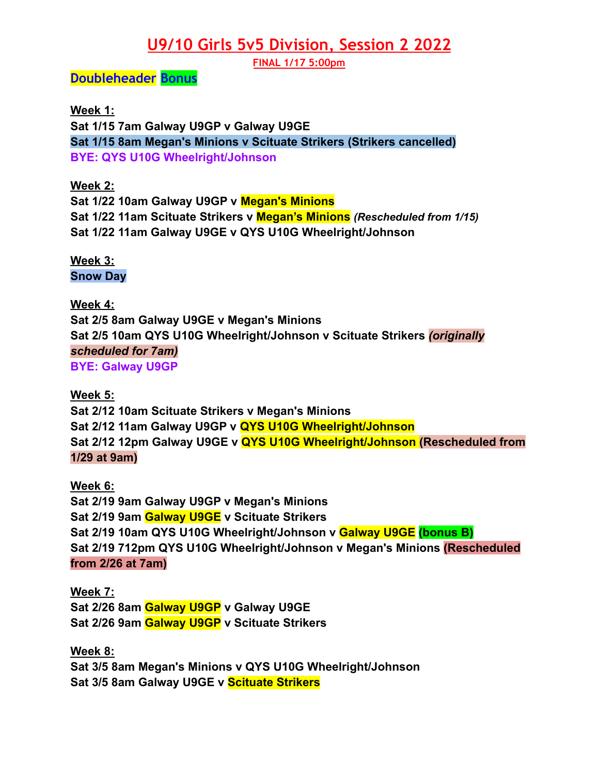## **U9/10 Girls 5v5 Division, Session 2 2022**

**FINAL 1/17 5:00pm**

### **Doubleheader Bonus**

**Week 1: Sat 1/15 7am Galway U9GP v Galway U9GE Sat 1/15 8am Megan's Minions v Scituate Strikers (Strikers cancelled) BYE: QYS U10G Wheelright/Johnson**

### **Week 2:**

**Sat 1/22 10am Galway U9GP v Megan's Minions Sat 1/22 11am Scituate Strikers v Megan's Minions** *(Rescheduled from 1/15)* **Sat 1/22 11am Galway U9GE v QYS U10G Wheelright/Johnson**

**Week 3: Snow Day**

**Week 4: Sat 2/5 8am Galway U9GE v Megan's Minions Sat 2/5 10am QYS U10G Wheelright/Johnson v Scituate Strikers** *(originally scheduled for 7am)* **BYE: Galway U9GP**

#### **Week 5:**

**Sat 2/12 10am Scituate Strikers v Megan's Minions Sat 2/12 11am Galway U9GP v QYS U10G Wheelright/Johnson Sat 2/12 12pm Galway U9GE v QYS U10G Wheelright/Johnson (Rescheduled from 1/29 at 9am)**

**Week 6: Sat 2/19 9am Galway U9GP v Megan's Minions Sat 2/19 9am Galway U9GE v Scituate Strikers Sat 2/19 10am QYS U10G Wheelright/Johnson v Galway U9GE (bonus B) Sat 2/19 712pm QYS U10G Wheelright/Johnson v Megan's Minions (Rescheduled from 2/26 at 7am)**

**Week 7: Sat 2/26 8am Galway U9GP v Galway U9GE Sat 2/26 9am Galway U9GP v Scituate Strikers**

**Week 8: Sat 3/5 8am Megan's Minions v QYS U10G Wheelright/Johnson Sat 3/5 8am Galway U9GE v Scituate Strikers**